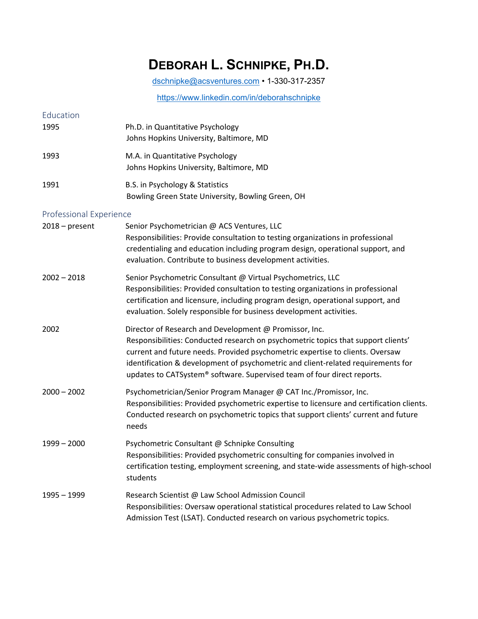## **DEBORAH L. SCHNIPKE, PH.D.**

[dschnipke@acsventures.com](mailto:dschnipke@acsventures.com) • 1-330-317-2357

<https://www.linkedin.com/in/deborahschnipke>

| Education                      |                                                                                                                                                                                                                                                                                                                                                                                             |
|--------------------------------|---------------------------------------------------------------------------------------------------------------------------------------------------------------------------------------------------------------------------------------------------------------------------------------------------------------------------------------------------------------------------------------------|
| 1995                           | Ph.D. in Quantitative Psychology<br>Johns Hopkins University, Baltimore, MD                                                                                                                                                                                                                                                                                                                 |
| 1993                           | M.A. in Quantitative Psychology<br>Johns Hopkins University, Baltimore, MD                                                                                                                                                                                                                                                                                                                  |
| 1991                           | B.S. in Psychology & Statistics<br>Bowling Green State University, Bowling Green, OH                                                                                                                                                                                                                                                                                                        |
| <b>Professional Experience</b> |                                                                                                                                                                                                                                                                                                                                                                                             |
| $2018 - present$               | Senior Psychometrician @ ACS Ventures, LLC<br>Responsibilities: Provide consultation to testing organizations in professional<br>credentialing and education including program design, operational support, and<br>evaluation. Contribute to business development activities.                                                                                                               |
| $2002 - 2018$                  | Senior Psychometric Consultant @ Virtual Psychometrics, LLC<br>Responsibilities: Provided consultation to testing organizations in professional<br>certification and licensure, including program design, operational support, and<br>evaluation. Solely responsible for business development activities.                                                                                   |
| 2002                           | Director of Research and Development @ Promissor, Inc.<br>Responsibilities: Conducted research on psychometric topics that support clients'<br>current and future needs. Provided psychometric expertise to clients. Oversaw<br>identification & development of psychometric and client-related requirements for<br>updates to CATSystem® software. Supervised team of four direct reports. |
| $2000 - 2002$                  | Psychometrician/Senior Program Manager @ CAT Inc./Promissor, Inc.<br>Responsibilities: Provided psychometric expertise to licensure and certification clients.<br>Conducted research on psychometric topics that support clients' current and future<br>needs                                                                                                                               |
| $1999 - 2000$                  | Psychometric Consultant @ Schnipke Consulting<br>Responsibilities: Provided psychometric consulting for companies involved in<br>certification testing, employment screening, and state-wide assessments of high-school<br>students                                                                                                                                                         |
| 1995 – 1999                    | Research Scientist @ Law School Admission Council<br>Responsibilities: Oversaw operational statistical procedures related to Law School<br>Admission Test (LSAT). Conducted research on various psychometric topics.                                                                                                                                                                        |